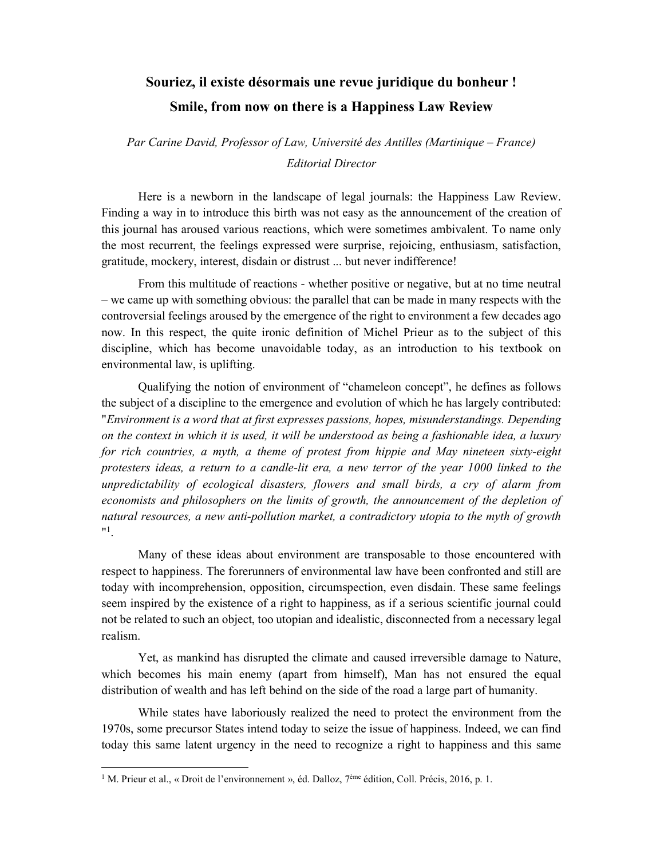## Souriez, il existe désormais une revue juridique du bonheur ! Smile, from now on there is a Happiness Law Review

Par Carine David, Professor of Law, Université des Antilles (Martinique – France) Editorial Director

Here is a newborn in the landscape of legal journals: the Happiness Law Review. Finding a way in to introduce this birth was not easy as the announcement of the creation of this journal has aroused various reactions, which were sometimes ambivalent. To name only the most recurrent, the feelings expressed were surprise, rejoicing, enthusiasm, satisfaction, gratitude, mockery, interest, disdain or distrust ... but never indifference!

From this multitude of reactions - whether positive or negative, but at no time neutral – we came up with something obvious: the parallel that can be made in many respects with the controversial feelings aroused by the emergence of the right to environment a few decades ago now. In this respect, the quite ironic definition of Michel Prieur as to the subject of this discipline, which has become unavoidable today, as an introduction to his textbook on environmental law, is uplifting.

Qualifying the notion of environment of "chameleon concept", he defines as follows the subject of a discipline to the emergence and evolution of which he has largely contributed: "Environment is a word that at first expresses passions, hopes, misunderstandings. Depending on the context in which it is used, it will be understood as being a fashionable idea, a luxury for rich countries, a myth, a theme of protest from hippie and May nineteen sixty-eight protesters ideas, a return to a candle-lit era, a new terror of the year 1000 linked to the unpredictability of ecological disasters, flowers and small birds, a cry of alarm from economists and philosophers on the limits of growth, the announcement of the depletion of natural resources, a new anti-pollution market, a contradictory utopia to the myth of growth  $^{\prime\prime}$ <sup>1</sup>.

Many of these ideas about environment are transposable to those encountered with respect to happiness. The forerunners of environmental law have been confronted and still are today with incomprehension, opposition, circumspection, even disdain. These same feelings seem inspired by the existence of a right to happiness, as if a serious scientific journal could not be related to such an object, too utopian and idealistic, disconnected from a necessary legal realism.

Yet, as mankind has disrupted the climate and caused irreversible damage to Nature, which becomes his main enemy (apart from himself), Man has not ensured the equal distribution of wealth and has left behind on the side of the road a large part of humanity.

While states have laboriously realized the need to protect the environment from the 1970s, some precursor States intend today to seize the issue of happiness. Indeed, we can find today this same latent urgency in the need to recognize a right to happiness and this same

-

<sup>&</sup>lt;sup>1</sup> M. Prieur et al., « Droit de l'environnement », éd. Dalloz, 7<sup>ème</sup> édition, Coll. Précis, 2016, p. 1.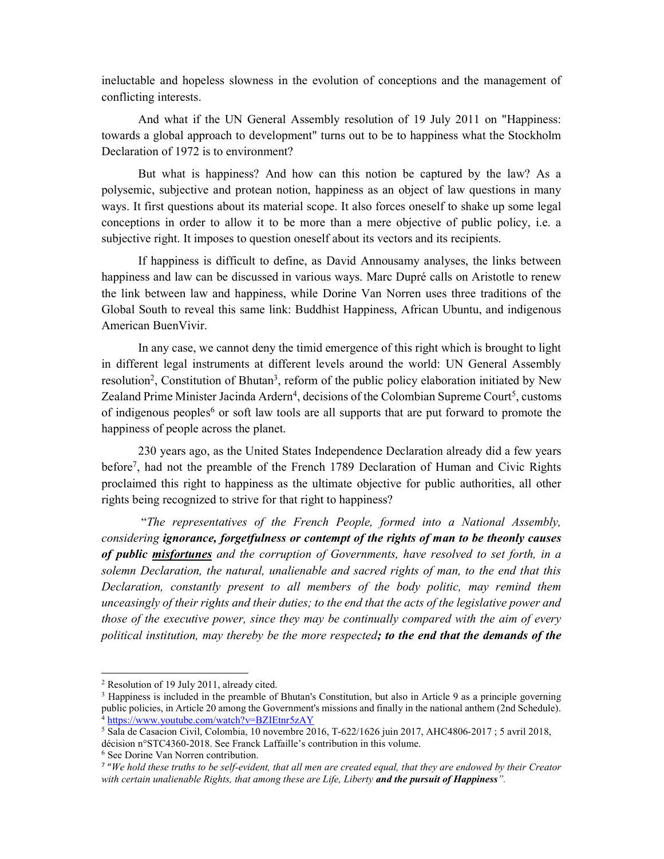ineluctable and hopeless slowness in the evolution of conceptions and the management of conflicting interests.

And what if the UN General Assembly resolution of 19 July 2011 on "Happiness: towards a global approach to development" turns out to be to happiness what the Stockholm Declaration of 1972 is to environment?

But what is happiness? And how can this notion be captured by the law? As a polysemic, subjective and protean notion, happiness as an object of law questions in many ways. It first questions about its material scope. It also forces oneself to shake up some legal conceptions in order to allow it to be more than a mere objective of public policy, i.e. a subjective right. It imposes to question oneself about its vectors and its recipients.

If happiness is difficult to define, as David Annousamy analyses, the links between happiness and law can be discussed in various ways. Marc Dupré calls on Aristotle to renew the link between law and happiness, while Dorine Van Norren uses three traditions of the Global South to reveal this same link: Buddhist Happiness, African Ubuntu, and indigenous American BuenVivir.

In any case, we cannot deny the timid emergence of this right which is brought to light in different legal instruments at different levels around the world: UN General Assembly resolution<sup>2</sup>, Constitution of Bhutan<sup>3</sup>, reform of the public policy elaboration initiated by New Zealand Prime Minister Jacinda Ardern<sup>4</sup>, decisions of the Colombian Supreme Court<sup>5</sup>, customs of indigenous peoples<sup>6</sup> or soft law tools are all supports that are put forward to promote the happiness of people across the planet.

230 years ago, as the United States Independence Declaration already did a few years before<sup>7</sup>, had not the preamble of the French 1789 Declaration of Human and Civic Rights proclaimed this right to happiness as the ultimate objective for public authorities, all other rights being recognized to strive for that right to happiness?

 "The representatives of the French People, formed into a National Assembly, considering ignorance, forgetfulness or contempt of the rights of man to be theonly causes of public misfortunes and the corruption of Governments, have resolved to set forth, in a solemn Declaration, the natural, unalienable and sacred rights of man, to the end that this Declaration, constantly present to all members of the body politic, may remind them unceasingly of their rights and their duties; to the end that the acts of the legislative power and those of the executive power, since they may be continually compared with the aim of every political institution, may thereby be the more respected; to the end that the demands of the

1

<sup>&</sup>lt;sup>2</sup> Resolution of 19 July 2011, already cited.

<sup>&</sup>lt;sup>3</sup> Happiness is included in the preamble of Bhutan's Constitution, but also in Article 9 as a principle governing public policies, in Article 20 among the Government's missions and finally in the national anthem (2nd Schedule). <sup>4</sup> https://www.youtube.com/watch?v=BZIEtnr5zAY

<sup>5</sup> Sala de Casacion Civil, Colombia, 10 novembre 2016, T-622/1626 juin 2017, AHC4806-2017 ; 5 avril 2018, décision n°STC4360-2018. See Franck Laffaille's contribution in this volume.

<sup>6</sup> See Dorine Van Norren contribution.

<sup>7</sup> "We hold these truths to be self-evident, that all men are created equal, that they are endowed by their Creator with certain unalienable Rights, that among these are Life, Liberty and the pursuit of Happiness".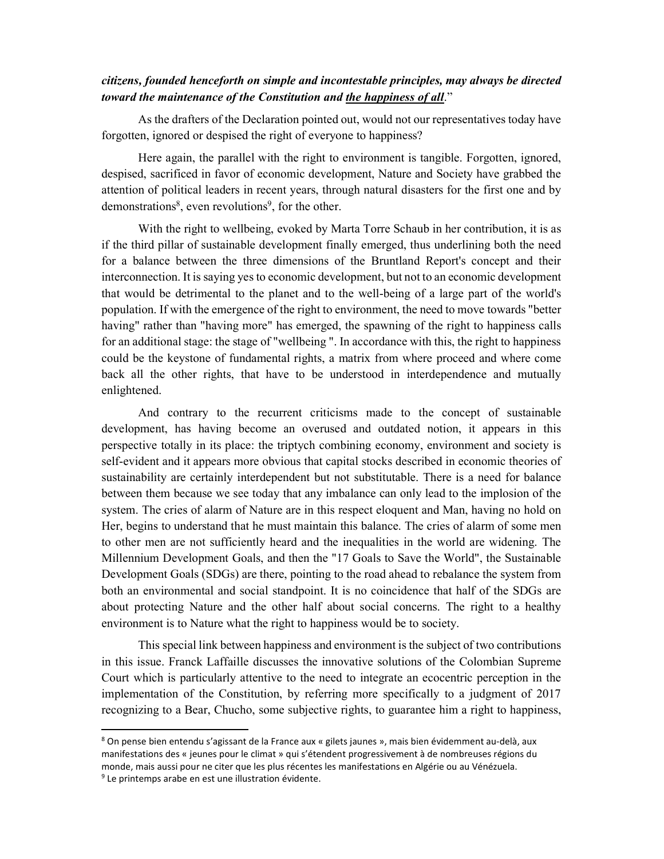## citizens, founded henceforth on simple and incontestable principles, may always be directed toward the maintenance of the Constitution and the happiness of all."

As the drafters of the Declaration pointed out, would not our representatives today have forgotten, ignored or despised the right of everyone to happiness?

Here again, the parallel with the right to environment is tangible. Forgotten, ignored, despised, sacrificed in favor of economic development, Nature and Society have grabbed the attention of political leaders in recent years, through natural disasters for the first one and by demonstrations<sup>8</sup>, even revolutions<sup>9</sup>, for the other.

With the right to wellbeing, evoked by Marta Torre Schaub in her contribution, it is as if the third pillar of sustainable development finally emerged, thus underlining both the need for a balance between the three dimensions of the Bruntland Report's concept and their interconnection. It is saying yes to economic development, but not to an economic development that would be detrimental to the planet and to the well-being of a large part of the world's population. If with the emergence of the right to environment, the need to move towards "better having" rather than "having more" has emerged, the spawning of the right to happiness calls for an additional stage: the stage of "wellbeing ". In accordance with this, the right to happiness could be the keystone of fundamental rights, a matrix from where proceed and where come back all the other rights, that have to be understood in interdependence and mutually enlightened.

And contrary to the recurrent criticisms made to the concept of sustainable development, has having become an overused and outdated notion, it appears in this perspective totally in its place: the triptych combining economy, environment and society is self-evident and it appears more obvious that capital stocks described in economic theories of sustainability are certainly interdependent but not substitutable. There is a need for balance between them because we see today that any imbalance can only lead to the implosion of the system. The cries of alarm of Nature are in this respect eloquent and Man, having no hold on Her, begins to understand that he must maintain this balance. The cries of alarm of some men to other men are not sufficiently heard and the inequalities in the world are widening. The Millennium Development Goals, and then the "17 Goals to Save the World", the Sustainable Development Goals (SDGs) are there, pointing to the road ahead to rebalance the system from both an environmental and social standpoint. It is no coincidence that half of the SDGs are about protecting Nature and the other half about social concerns. The right to a healthy environment is to Nature what the right to happiness would be to society.

This special link between happiness and environment is the subject of two contributions in this issue. Franck Laffaille discusses the innovative solutions of the Colombian Supreme Court which is particularly attentive to the need to integrate an ecocentric perception in the implementation of the Constitution, by referring more specifically to a judgment of 2017 recognizing to a Bear, Chucho, some subjective rights, to guarantee him a right to happiness,

1

<sup>8</sup> On pense bien entendu s'agissant de la France aux « gilets jaunes », mais bien évidemment au-delà, aux manifestations des « jeunes pour le climat » qui s'étendent progressivement à de nombreuses régions du monde, mais aussi pour ne citer que les plus récentes les manifestations en Algérie ou au Vénézuela. <sup>9</sup> Le printemps arabe en est une illustration évidente.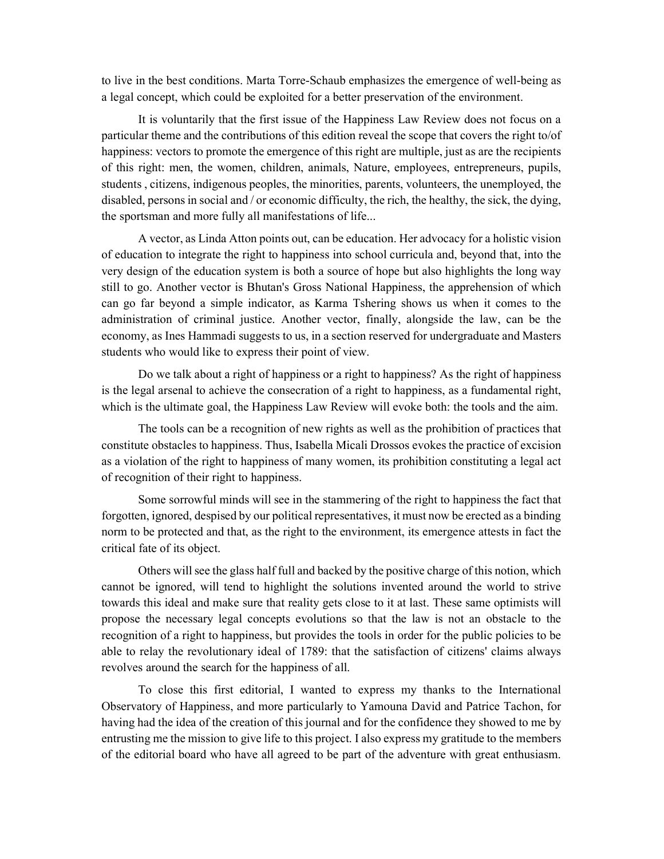to live in the best conditions. Marta Torre-Schaub emphasizes the emergence of well-being as a legal concept, which could be exploited for a better preservation of the environment.

It is voluntarily that the first issue of the Happiness Law Review does not focus on a particular theme and the contributions of this edition reveal the scope that covers the right to/of happiness: vectors to promote the emergence of this right are multiple, just as are the recipients of this right: men, the women, children, animals, Nature, employees, entrepreneurs, pupils, students , citizens, indigenous peoples, the minorities, parents, volunteers, the unemployed, the disabled, persons in social and / or economic difficulty, the rich, the healthy, the sick, the dying, the sportsman and more fully all manifestations of life...

A vector, as Linda Atton points out, can be education. Her advocacy for a holistic vision of education to integrate the right to happiness into school curricula and, beyond that, into the very design of the education system is both a source of hope but also highlights the long way still to go. Another vector is Bhutan's Gross National Happiness, the apprehension of which can go far beyond a simple indicator, as Karma Tshering shows us when it comes to the administration of criminal justice. Another vector, finally, alongside the law, can be the economy, as Ines Hammadi suggests to us, in a section reserved for undergraduate and Masters students who would like to express their point of view.

Do we talk about a right of happiness or a right to happiness? As the right of happiness is the legal arsenal to achieve the consecration of a right to happiness, as a fundamental right, which is the ultimate goal, the Happiness Law Review will evoke both: the tools and the aim.

The tools can be a recognition of new rights as well as the prohibition of practices that constitute obstacles to happiness. Thus, Isabella Micali Drossos evokes the practice of excision as a violation of the right to happiness of many women, its prohibition constituting a legal act of recognition of their right to happiness.

Some sorrowful minds will see in the stammering of the right to happiness the fact that forgotten, ignored, despised by our political representatives, it must now be erected as a binding norm to be protected and that, as the right to the environment, its emergence attests in fact the critical fate of its object.

Others will see the glass half full and backed by the positive charge of this notion, which cannot be ignored, will tend to highlight the solutions invented around the world to strive towards this ideal and make sure that reality gets close to it at last. These same optimists will propose the necessary legal concepts evolutions so that the law is not an obstacle to the recognition of a right to happiness, but provides the tools in order for the public policies to be able to relay the revolutionary ideal of 1789: that the satisfaction of citizens' claims always revolves around the search for the happiness of all.

To close this first editorial, I wanted to express my thanks to the International Observatory of Happiness, and more particularly to Yamouna David and Patrice Tachon, for having had the idea of the creation of this journal and for the confidence they showed to me by entrusting me the mission to give life to this project. I also express my gratitude to the members of the editorial board who have all agreed to be part of the adventure with great enthusiasm.